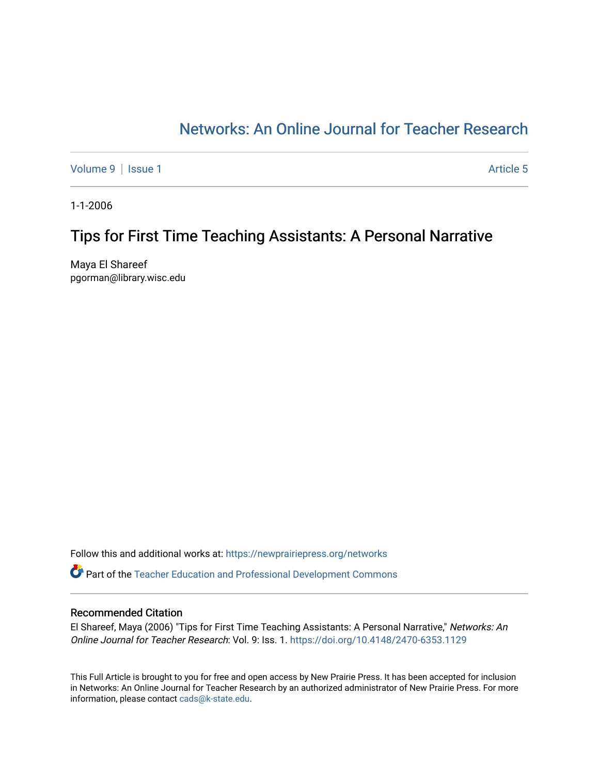# [Networks: An Online Journal for Teacher Research](https://newprairiepress.org/networks)

[Volume 9](https://newprairiepress.org/networks/vol9) | [Issue 1](https://newprairiepress.org/networks/vol9/iss1) Article 5

1-1-2006

# Tips for First Time Teaching Assistants: A Personal Narrative

Maya El Shareef pgorman@library.wisc.edu

Follow this and additional works at: [https://newprairiepress.org/networks](https://newprairiepress.org/networks?utm_source=newprairiepress.org%2Fnetworks%2Fvol9%2Fiss1%2F5&utm_medium=PDF&utm_campaign=PDFCoverPages)

Part of the [Teacher Education and Professional Development Commons](http://network.bepress.com/hgg/discipline/803?utm_source=newprairiepress.org%2Fnetworks%2Fvol9%2Fiss1%2F5&utm_medium=PDF&utm_campaign=PDFCoverPages) 

#### Recommended Citation

El Shareef, Maya (2006) "Tips for First Time Teaching Assistants: A Personal Narrative," Networks: An Online Journal for Teacher Research: Vol. 9: Iss. 1. <https://doi.org/10.4148/2470-6353.1129>

This Full Article is brought to you for free and open access by New Prairie Press. It has been accepted for inclusion in Networks: An Online Journal for Teacher Research by an authorized administrator of New Prairie Press. For more information, please contact [cads@k-state.edu](mailto:cads@k-state.edu).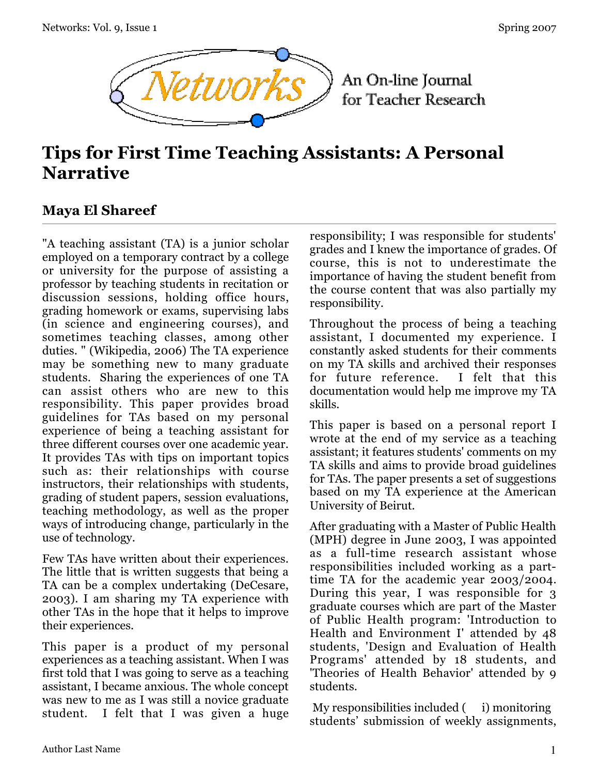

An On-line Journal for Teacher Research

# **Tips for First Time Teaching Assistants: A Personal Narrative**

## **Maya El Shareef**

"A teaching assistant (TA) is a junior scholar employed on a temporary contract by a college or university for the purpose of assisting a professor by teaching students in recitation or discussion sessions, holding office hours, grading homework or exams, supervising labs (in science and engineering courses), and sometimes teaching classes, among other duties. " (Wikipedia, 2006) The TA experience may be something new to many graduate students. Sharing the experiences of one TA can assist others who are new to this responsibility. This paper provides broad guidelines for TAs based on my personal experience of being a teaching assistant for three different courses over one academic year. It provides TAs with tips on important topics such as: their relationships with course instructors, their relationships with students, grading of student papers, session evaluations, teaching methodology, as well as the proper ways of introducing change, particularly in the use of technology.

Few TAs have written about their experiences. The little that is written suggests that being a TA can be a complex undertaking (DeCesare, 2003). I am sharing my TA experience with other TAs in the hope that it helps to improve their experiences.

This paper is a product of my personal experiences as a teaching assistant. When I was first told that I was going to serve as a teaching assistant, I became anxious. The whole concept was new to me as I was still a novice graduate student. I felt that I was given a huge responsibility; I was responsible for students' grades and I knew the importance of grades. Of course, this is not to underestimate the importance of having the student benefit from the course content that was also partially my responsibility.

Throughout the process of being a teaching assistant, I documented my experience. I constantly asked students for their comments on my TA skills and archived their responses for future reference. I felt that this documentation would help me improve my TA skills.

This paper is based on a personal report I wrote at the end of my service as a teaching assistant; it features students' comments on my TA skills and aims to provide broad guidelines for TAs. The paper presents a set of suggestions based on my TA experience at the American University of Beirut.

After graduating with a Master of Public Health (MPH) degree in June 2003, I was appointed as a full-time research assistant whose responsibilities included working as a parttime TA for the academic year 2003/2004. During this year, I was responsible for 3 graduate courses which are part of the Master of Public Health program: 'Introduction to Health and Environment I' attended by 48 students, 'Design and Evaluation of Health Programs' attended by 18 students, and 'Theories of Health Behavior' attended by 9 students.

My responsibilities included ( i) monitoring students' submission of weekly assignments,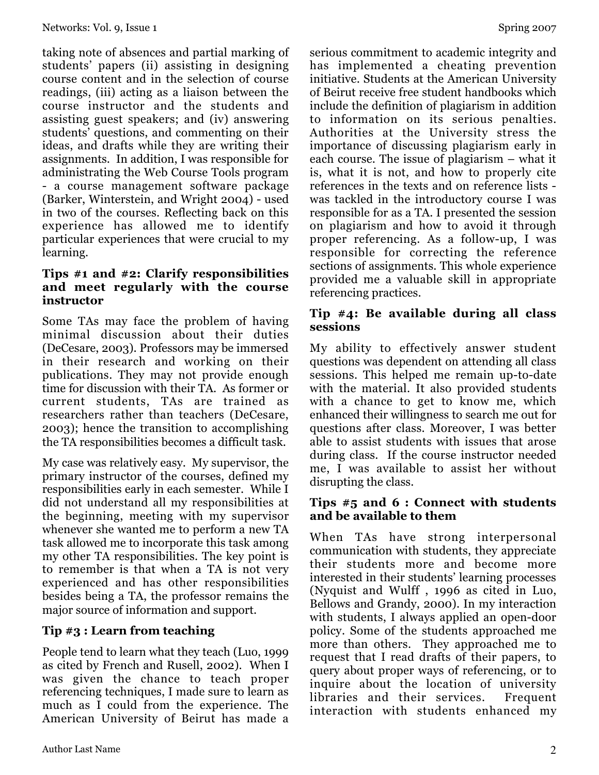taking note of absences and partial marking of students' papers (ii) assisting in designing course content and in the selection of course readings, (iii) acting as a liaison between the course instructor and the students and assisting guest speakers; and (iv) answering students' questions, and commenting on their ideas, and drafts while they are writing their assignments. In addition, I was responsible for administrating the Web Course Tools program - a course management software package (Barker, Winterstein, and Wright 2004) - used in two of the courses. Reflecting back on this experience has allowed me to identify particular experiences that were crucial to my learning.

#### **Tips #1 and #2: Clarify responsibilities and meet regularly with the course instructor**

Some TAs may face the problem of having minimal discussion about their duties (DeCesare, 2003). Professors may be immersed in their research and working on their publications. They may not provide enough time for discussion with their TA. As former or current students, TAs are trained as researchers rather than teachers (DeCesare, 2003); hence the transition to accomplishing the TA responsibilities becomes a difficult task.

My case was relatively easy. My supervisor, the primary instructor of the courses, defined my responsibilities early in each semester. While I did not understand all my responsibilities at the beginning, meeting with my supervisor whenever she wanted me to perform a new TA task allowed me to incorporate this task among my other TA responsibilities. The key point is to remember is that when a TA is not very experienced and has other responsibilities besides being a TA, the professor remains the major source of information and support.

## **Tip #3 : Learn from teaching**

People tend to learn what they teach (Luo, 1999 as cited by French and Rusell, 2002). When I was given the chance to teach proper referencing techniques, I made sure to learn as much as I could from the experience. The American University of Beirut has made a

serious commitment to academic integrity and has implemented a cheating prevention initiative. Students at the American University of Beirut receive free student handbooks which include the definition of plagiarism in addition to information on its serious penalties. Authorities at the University stress the importance of discussing plagiarism early in each course. The issue of plagiarism – what it is, what it is not, and how to properly cite references in the texts and on reference lists was tackled in the introductory course I was responsible for as a TA. I presented the session on plagiarism and how to avoid it through proper referencing. As a follow-up, I was responsible for correcting the reference sections of assignments. This whole experience provided me a valuable skill in appropriate referencing practices.

#### **Tip #4: Be available during all class sessions**

My ability to effectively answer student questions was dependent on attending all class sessions. This helped me remain up-to-date with the material. It also provided students with a chance to get to know me, which enhanced their willingness to search me out for questions after class. Moreover, I was better able to assist students with issues that arose during class. If the course instructor needed me, I was available to assist her without disrupting the class.

#### **Tips #5 and 6 : Connect with students and be available to them**

When TAs have strong interpersonal communication with students, they appreciate their students more and become more interested in their students' learning processes (Nyquist and Wulff , 1996 as cited in Luo, Bellows and Grandy, 2000). In my interaction with students, I always applied an open-door policy. Some of the students approached me more than others. They approached me to request that I read drafts of their papers, to query about proper ways of referencing, or to inquire about the location of university libraries and their services. Frequent interaction with students enhanced my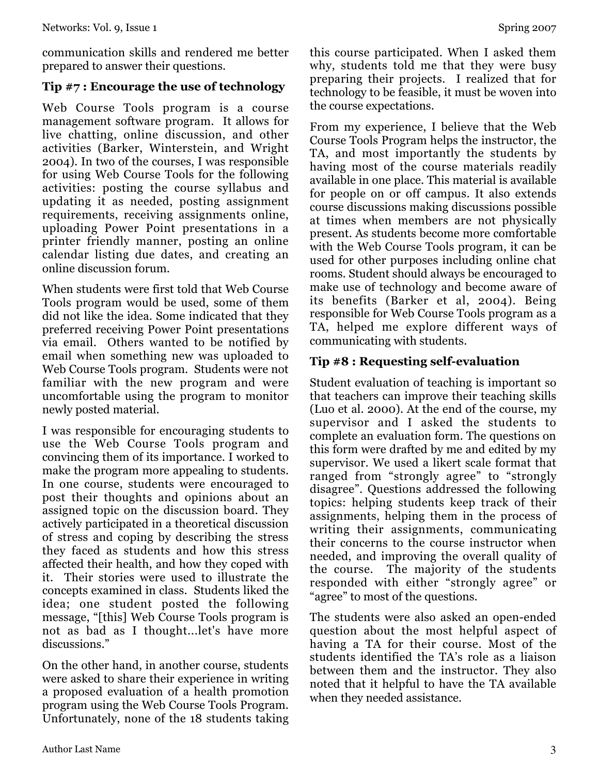communication skills and rendered me better prepared to answer their questions.

### **Tip #7 : Encourage the use of technology**

Web Course Tools program is a course management software program. It allows for live chatting, online discussion, and other activities (Barker, Winterstein, and Wright 2004). In two of the courses, I was responsible for using Web Course Tools for the following activities: posting the course syllabus and updating it as needed, posting assignment requirements, receiving assignments online, uploading Power Point presentations in a printer friendly manner, posting an online calendar listing due dates, and creating an online discussion forum.

When students were first told that Web Course Tools program would be used, some of them did not like the idea. Some indicated that they preferred receiving Power Point presentations via email. Others wanted to be notified by email when something new was uploaded to Web Course Tools program. Students were not familiar with the new program and were uncomfortable using the program to monitor newly posted material.

I was responsible for encouraging students to use the Web Course Tools program and convincing them of its importance. I worked to make the program more appealing to students. In one course, students were encouraged to post their thoughts and opinions about an assigned topic on the discussion board. They actively participated in a theoretical discussion of stress and coping by describing the stress they faced as students and how this stress affected their health, and how they coped with it. Their stories were used to illustrate the concepts examined in class. Students liked the idea; one student posted the following message, "[this] Web Course Tools program is not as bad as I thought...let's have more discussions."

On the other hand, in another course, students were asked to share their experience in writing a proposed evaluation of a health promotion program using the Web Course Tools Program. Unfortunately, none of the 18 students taking this course participated. When I asked them why, students told me that they were busy preparing their projects. I realized that for technology to be feasible, it must be woven into the course expectations.

From my experience, I believe that the Web Course Tools Program helps the instructor, the TA, and most importantly the students by having most of the course materials readily available in one place. This material is available for people on or off campus. It also extends course discussions making discussions possible at times when members are not physically present. As students become more comfortable with the Web Course Tools program, it can be used for other purposes including online chat rooms. Student should always be encouraged to make use of technology and become aware of its benefits (Barker et al, 2004). Being responsible for Web Course Tools program as a TA, helped me explore different ways of communicating with students.

## **Tip #8 : Requesting self-evaluation**

Student evaluation of teaching is important so that teachers can improve their teaching skills (Luo et al. 2000). At the end of the course, my supervisor and I asked the students to complete an evaluation form. The questions on this form were drafted by me and edited by my supervisor. We used a likert scale format that ranged from "strongly agree" to "strongly disagree". Questions addressed the following topics: helping students keep track of their assignments, helping them in the process of writing their assignments, communicating their concerns to the course instructor when needed, and improving the overall quality of the course. The majority of the students responded with either "strongly agree" or "agree" to most of the questions.

The students were also asked an open-ended question about the most helpful aspect of having a TA for their course. Most of the students identified the TA's role as a liaison between them and the instructor. They also noted that it helpful to have the TA available when they needed assistance.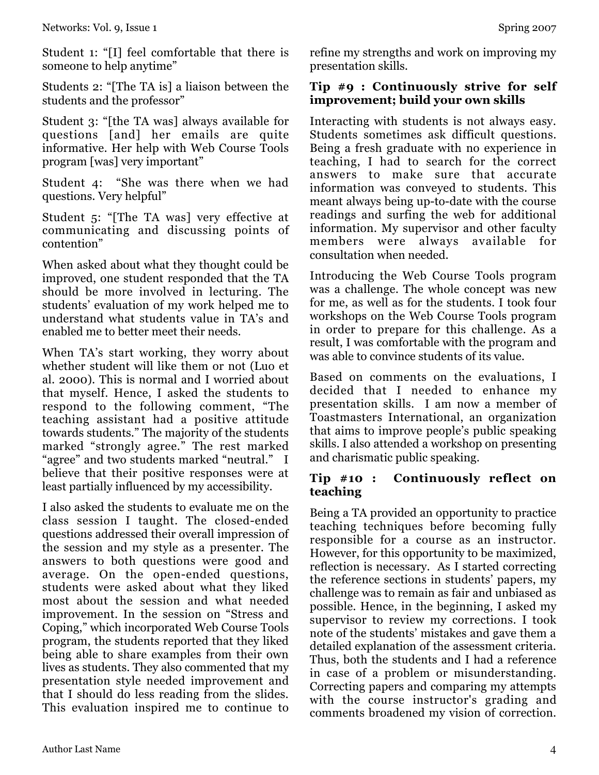Student 1: "[I] feel comfortable that there is someone to help anytime"

Students 2: "[The TA is] a liaison between the students and the professor"

Student 3: "[the TA was] always available for questions [and] her emails are quite informative. Her help with Web Course Tools program [was] very important"

Student 4: "She was there when we had questions. Very helpful"

Student 5: "[The TA was] very effective at communicating and discussing points of contention"

When asked about what they thought could be improved, one student responded that the TA should be more involved in lecturing. The students' evaluation of my work helped me to understand what students value in TA's and enabled me to better meet their needs.

When TA's start working, they worry about whether student will like them or not (Luo et al. 2000). This is normal and I worried about that myself. Hence, I asked the students to respond to the following comment, "The teaching assistant had a positive attitude towards students." The majority of the students marked "strongly agree." The rest marked "agree" and two students marked "neutral." I believe that their positive responses were at least partially influenced by my accessibility.

I also asked the students to evaluate me on the class session I taught. The closed-ended questions addressed their overall impression of the session and my style as a presenter. The answers to both questions were good and average. On the open-ended questions, students were asked about what they liked most about the session and what needed improvement. In the session on "Stress and Coping," which incorporated Web Course Tools program, the students reported that they liked being able to share examples from their own lives as students. They also commented that my presentation style needed improvement and that I should do less reading from the slides. This evaluation inspired me to continue to

refine my strengths and work on improving my presentation skills.

#### **Tip #9 : Continuously strive for self improvement; build your own skills**

Interacting with students is not always easy. Students sometimes ask difficult questions. Being a fresh graduate with no experience in teaching, I had to search for the correct answers to make sure that accurate information was conveyed to students. This meant always being up-to-date with the course readings and surfing the web for additional information. My supervisor and other faculty members were always available for consultation when needed.

Introducing the Web Course Tools program was a challenge. The whole concept was new for me, as well as for the students. I took four workshops on the Web Course Tools program in order to prepare for this challenge. As a result, I was comfortable with the program and was able to convince students of its value.

Based on comments on the evaluations, I decided that I needed to enhance my presentation skills. I am now a member of Toastmasters International, an organization that aims to improve people's public speaking skills. I also attended a workshop on presenting and charismatic public speaking.

## **Tip #10 : Continuously reflect on teaching**

Being a TA provided an opportunity to practice teaching techniques before becoming fully responsible for a course as an instructor. However, for this opportunity to be maximized, reflection is necessary. As I started correcting the reference sections in students' papers, my challenge was to remain as fair and unbiased as possible. Hence, in the beginning, I asked my supervisor to review my corrections. I took note of the students' mistakes and gave them a detailed explanation of the assessment criteria. Thus, both the students and I had a reference in case of a problem or misunderstanding. Correcting papers and comparing my attempts with the course instructor's grading and comments broadened my vision of correction.